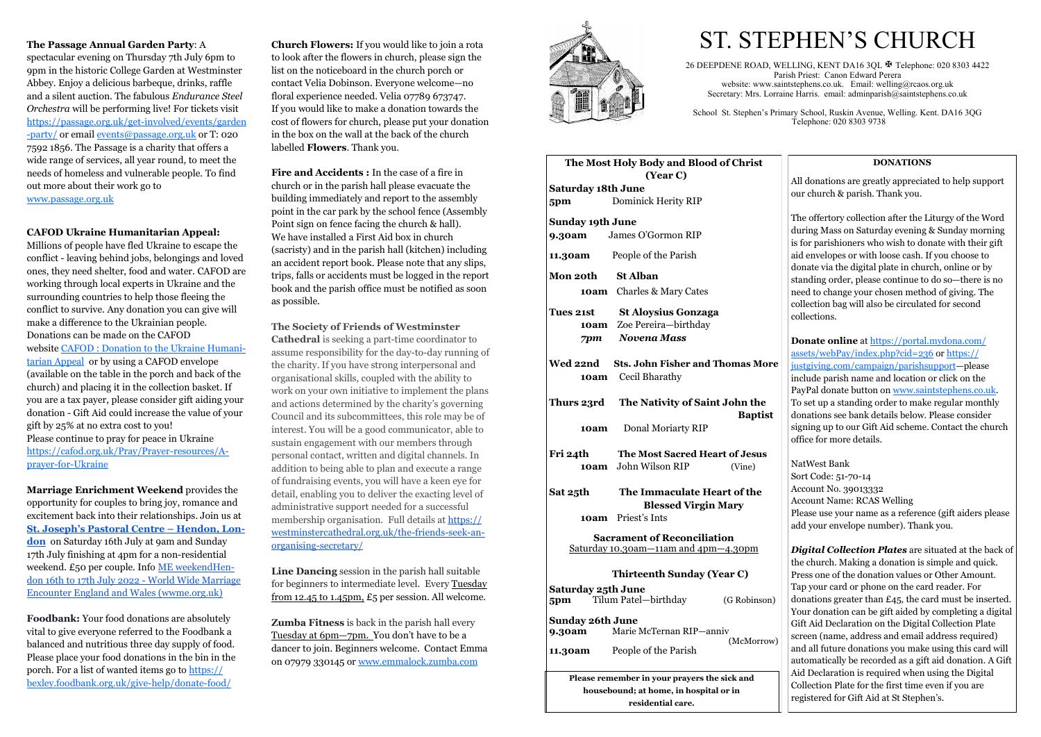#### **The Passage Annual Garden Party**: A

spectacular evening on Thursday 7th July 6pm to 9pm in the historic College Garden at Westminster Abbey. Enjoy a delicious barbeque, drinks, raffle and a silent auction. The fabulous *Endurance Steel Orchestra* will be performing live! For tickets visit [https://passage.org.uk/get](https://passage.org.uk/get-involved/events/garden-party/)-involved/events/garden -[party/](https://passage.org.uk/get-involved/events/garden-party/) or email [events@passage.org.uk](mailto:events@passage.org.uk) or T: 020 7592 1856. The Passage is a charity that offers a wide range of services, all year round, to meet the needs of homeless and vulnerable people. To find out more about their work go to [www.passage.org.uk](http://www.passage.org.uk)

#### **CAFOD Ukraine Humanitarian Appeal:**

Millions of people have fled Ukraine to escape the conflict - leaving behind jobs, belongings and loved ones, they need shelter, food and water. CAFOD are working through local experts in Ukraine and the surrounding countries to help those fleeing the conflict to survive. Any donation you can give will make a difference to the Ukrainian people. Donations can be made on the CAFOD website [CAFOD : Donation to the Ukraine Humani](https://cafod.org.uk/donations/picker?defaultuniversaltype=single&_Appeal=123770)[tarian Appeal](https://cafod.org.uk/donations/picker?defaultuniversaltype=single&_Appeal=123770) or by using a CAFOD envelope (available on the table in the porch and back of the church) and placing it in the collection basket. If you are a tax payer, please consider gift aiding your donation - Gift Aid could increase the value of your gift by 25% at no extra cost to you! Please continue to pray for peace in Ukraine [https://cafod.org.uk/Pray/Prayer](https://cafod.org.uk/Pray/Prayer-resources/A-prayer-for-Ukraine)-resources/Aprayer-for-[Ukraine](https://cafod.org.uk/Pray/Prayer-resources/A-prayer-for-Ukraine)

**Marriage Enrichment Weekend** provides the opportunity for couples to bring joy, romance and excitement back into their relationships. Join us at **St. Joseph'[s Pastoral Centre –](https://wwme.org.uk/venue/st-josephs-pastoral-centre-hendon-london/) Hendon, Lon[don](https://wwme.org.uk/venue/st-josephs-pastoral-centre-hendon-london/)** on Saturday 16th July at 9am and Sunday 17th July finishing at 4pm for a non-residential weekend. £50 per couple. Info [ME weekendHen](https://wwme.org.uk/weekend/me-weekendhendon-16th-to-17th-july-2022/)[don 16th to 17th July 2022](https://wwme.org.uk/weekend/me-weekendhendon-16th-to-17th-july-2022/) - World Wide Marriage [Encounter England and Wales \(wwme.org.uk\)](https://wwme.org.uk/weekend/me-weekendhendon-16th-to-17th-july-2022/)

**Foodbank:** Your food donations are absolutely vital to give everyone referred to the Foodbank a balanced and nutritious three day supply of food. Please place your food donations in the bin in the porch. For a list of wanted items go to [https://](https://bexley.foodbank.org.uk/give-help/donate-food/%20) [bexley.foodbank.org.uk/give](https://bexley.foodbank.org.uk/give-help/donate-food/%20)-help/donate-food/

**Church Flowers:** If you would like to join a rota to look after the flowers in church, please sign the list on the noticeboard in the church porch or contact Velia Dobinson. Everyone welcome—no floral experience needed. Velia 07789 673747. If you would like to make a donation towards the cost of flowers for church, please put your donation in the box on the wall at the back of the church labelled **Flowers**. Thank you.

**Fire and Accidents :** In the case of a fire in church or in the parish hall please evacuate the building immediately and report to the assembly point in the car park by the school fence (Assembly Point sign on fence facing the church & hall). We have installed a First Aid box in church (sacristy) and in the parish hall (kitchen) including an accident report book. Please note that any slips, trips, falls or accidents must be logged in the report book and the parish office must be notified as soon as possible.

#### **The Society of Friends of Westminster**

**Cathedral** is seeking a part-time coordinator to assume responsibility for the day-to-day running of the charity. If you have strong interpersonal and organisational skills, coupled with the ability to work on your own initiative to implement the plans and actions determined by the charity's governing Council and its subcommittees, this role may be of interest. You will be a good communicator, able to sustain engagement with our members through personal contact, written and digital channels. In addition to being able to plan and execute a range of fundraising events, you will have a keen eye for detail, enabling you to deliver the exacting level of administrative support needed for a successful membership organisation. Full details at [https://](https://westminstercathedral.org.uk/the-friends-seek-an-organising-secretary/) [westminstercathedral.org.uk/the](https://westminstercathedral.org.uk/the-friends-seek-an-organising-secretary/)-friends-seek-an[organising](https://westminstercathedral.org.uk/the-friends-seek-an-organising-secretary/)-secretary/

**Line Dancing** session in the parish hall suitable for beginners to intermediate level. Every Tuesday from 12.45 to 1.45pm, £5 per session. All welcome.

**Zumba Fitness** is back in the parish hall every Tuesday at 6pm—7pm. You don't have to be a dancer to join. Beginners welcome. Contact Emma on 07979 330145 or [www.emmalock.zumba.com](http://www.emmalock.zumba.com/)



26 DEEPDENE ROAD, WELLING, KENT DA16 3QL  $\overline{\mathbb{F}}$  Telephone: 020 8303 4422 Parish Priest: Canon Edward Perera website: www.saintstephens.co.uk. Email: welling@rcaos.org.uk Secretary: Mrs. Lorraine Harris. email: a[dminparish@saintstephens.co.uk](mailto:adminparish@saintstephens.co.uk)

#### **DONATIONS**

All donations are greatly appreciated to help support our church & parish. Thank you.

The offertory collection after the Liturgy of the Word during Mass on Saturday evening & Sunday morning is for parishioners who wish to donate with their gift aid envelopes or with loose cash. If you choose to donate via the digital plate in church, online or by standing order, please continue to do so—there is no need to change your chosen method of giving. The collection bag will also be circulated for second collections.

**Donate online** at [https://portal.mydona.com/](https://portal.mydona.com/assets/webPay/index.php?cid=236) [assets/webPay/index.php?cid=236](https://portal.mydona.com/assets/webPay/index.php?cid=236) or [https://](https://justgiving.com/campaign/parishsupport) [justgiving.com/campaign/parishsupport—](https://justgiving.com/campaign/parishsupport)please include parish name and location or click on the PayPal donate button on [www.saintstephens.co.uk.](http://www.saintstephens.co.uk)  To set up a standing order to make regular monthly donations see bank details below. Please consider signing up to our Gift Aid scheme. Contact the church office for more details.

NatWest Bank Sort Code: 51-70-14 Account No. 39013332 Account Name: RCAS Welling Please use your name as a reference (gift aiders please add your envelope number). Thank you.

*Digital Collection Plates* are situated at the back of the church. Making a donation is simple and quick. Press one of the donation values or Other Amount. Tap your card or phone on the card reader. For donations greater than £45, the card must be inserted. Your donation can be gift aided by completing a digital Gift Aid Declaration on the Digital Collection Plate screen (name, address and email address required) and all future donations you make using this card will automatically be recorded as a gift aid donation. A Gift Aid Declaration is required when using the Digital Collection Plate for the first time even if you are registered for Gift Aid at St Stephen's.

|                                                                                   | The Most Holy Body and Blood of Christ<br>(Year C)                         |                |
|-----------------------------------------------------------------------------------|----------------------------------------------------------------------------|----------------|
| <b>Saturday 18th June</b>                                                         |                                                                            |                |
| 5pm                                                                               | Dominick Herity RIP                                                        |                |
| <b>Sunday 19th June</b>                                                           |                                                                            |                |
|                                                                                   | 9.30am James O'Gormon RIP                                                  |                |
|                                                                                   | <b>11.30am</b> People of the Parish                                        |                |
| Mon 20th St Alban                                                                 |                                                                            |                |
|                                                                                   | <b>10am</b> Charles & Mary Cates                                           |                |
| <b>Tues 21st</b>                                                                  | <b>St Aloysius Gonzaga</b><br>10am Zoe Pereira-birthday<br>7pm Novena Mass |                |
|                                                                                   | Wed 22nd Sts. John Fisher and Thomas More<br><b>10am</b> Cecil Bharathy    |                |
|                                                                                   | Thurs 23rd The Nativity of Saint John the                                  | <b>Baptist</b> |
| 10am                                                                              | Donal Moriarty RIP                                                         |                |
| Fri 24th                                                                          | <b>The Most Sacred Heart of Jesus</b>                                      |                |
|                                                                                   | 10am John Wilson RIP                                                       | (Vine)         |
| Sat 25th                                                                          | The Immaculate Heart of the<br><b>Blessed Virgin Mary</b>                  |                |
|                                                                                   | 10am Priest's Ints                                                         |                |
| <b>Sacrament of Reconciliation</b><br><u>Saturday 10.30am—11am and 4pm—4.30pm</u> |                                                                            |                |
|                                                                                   | <b>Thirteenth Sunday (Year C)</b>                                          |                |
| Saturday 25th June<br>5pm                                                         | Tilum Patel-birthday                                                       | (G Robinson)   |
| <b>Sunday 26th June</b><br>9.30am                                                 | Marie McTernan RIP-anniv<br>(McMorrow)                                     |                |
| 11.30am                                                                           | People of the Parish                                                       |                |
| Please remember in your prayers the sick and                                      |                                                                            |                |
| housebound; at home, in hospital or in                                            |                                                                            |                |
| residential care.                                                                 |                                                                            |                |

# ST. STEPHEN'S CHURCH

School St. Stephen's Primary School, Ruskin Avenue, Welling. Kent. DA16 3QG Telephone: 020 8303 9738